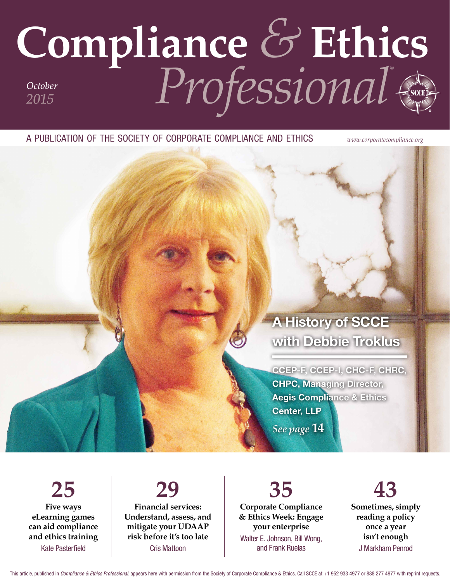## **Compliance** *&* **Ethics** *Professional® October 2015*

a publication of the society of corporate compliance and ethics *www.corporatecompliance.org*

### A History of SCCE with Debbie Troklus

CCEP‑F, CCEP‑I, CHC-F, CHRC, CHPC, Managing Director, Aegis Compliance & Ethics Center, LLP

*See page* **14**

**25 Five ways eLearning games can aid compliance and ethics training** Kate Pasterfield

**29 Financial services: Understand, assess, and mitigate your UDAAP risk before it's too late** Cris Mattoon

**35 Corporate Compliance & Ethics Week: Engage your enterprise** Walter E. Johnson, Bill Wong, and Frank Ruelas

**43 Sometimes, simply reading a policy once a year isn't enough** J Markham Penrod

This article, published in *Compliance & Ethics Professional*, appears here with permission from the Society of Corporate Compliance & Ethics. Call SCCE at +1 952 933 4977 or 888 277 4977 with reprint requests.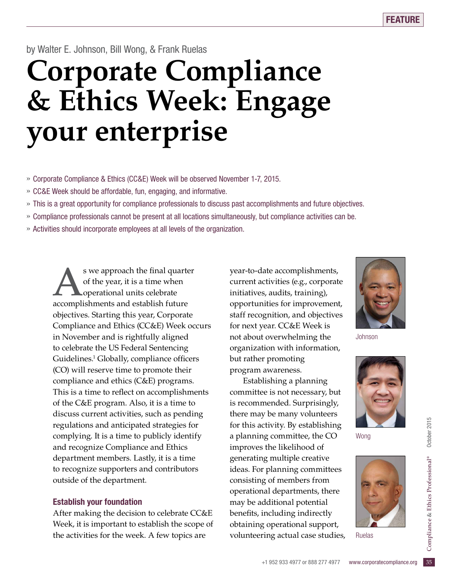by Walter E. Johnson, Bill Wong, & Frank Ruelas

## **Corporate Compliance & Ethics Week: Engage your enterprise**

- » Corporate Compliance & Ethics (CC&E) Week will be observed November 1-7, 2015.
- » CC&E Week should be affordable, fun, engaging, and informative.
- » This is a great opportunity for compliance professionals to discuss past accomplishments and future objectives.
- » Compliance professionals cannot be present at all locations simultaneously, but compliance activities can be.
- » Activities should incorporate employees at all levels of the organization.

s we approach the final quarter of the year, it is a time when operational units celebrate accomplishments and establish future objectives. Starting this year, Corporate Compliance and Ethics (CC&E) Week occurs in November and is rightfully aligned to celebrate the US Federal Sentencing Guidelines.<sup>1</sup> Globally, compliance officers (CO) will reserve time to promote their compliance and ethics (C&E) programs. This is a time to reflect on accomplishments of the C&E program. Also, it is a time to discuss current activities, such as pending regulations and anticipated strategies for complying. It is a time to publicly identify and recognize Compliance and Ethics department members. Lastly, it is a time to recognize supporters and contributors outside of the department.

#### Establish your foundation

After making the decision to celebrate CC&E Week, it is important to establish the scope of the activities for the week. A few topics are

year-to-date accomplishments, current activities (e.g., corporate initiatives, audits, training), opportunities for improvement, staff recognition, and objectives for next year. CC&E Week is not about overwhelming the organization with information, but rather promoting program awareness.

experational support,<br>
ring actual case studies, Ruelas<br>
+1 952 933 4977 or 888 277 4977 www.corporatecompliance.org 35 Establishing a planning committee is not necessary, but is recommended. Surprisingly, there may be many volunteers for this activity. By establishing a planning committee, the CO improves the likelihood of generating multiple creative ideas. For planning committees consisting of members from operational departments, there may be additional potential benefits, including indirectly obtaining operational support, volunteering actual case studies,



Johnson



Wong



Ruelas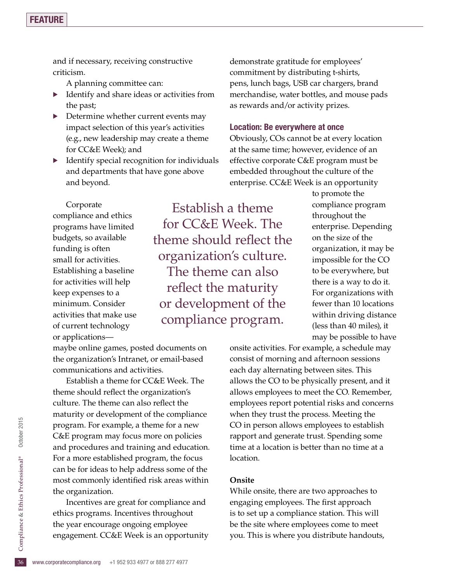and if necessary, receiving constructive criticism.

A planning committee can:

- $\blacktriangleright$  Identify and share ideas or activities from the past;
- Determine whether current events may impact selection of this year's activities (e.g., new leadership may create a theme for CC&E Week); and
- $\blacktriangleright$  Identify special recognition for individuals and departments that have gone above and beyond.

demonstrate gratitude for employees' commitment by distributing t-shirts, pens, lunch bags, USB car chargers, brand merchandise, water bottles, and mouse pads as rewards and/or activity prizes.

#### Location: Be everywhere at once

Obviously, COs cannot be at every location at the same time; however, evidence of an effective corporate C&E program must be embedded throughout the culture of the enterprise. CC&E Week is an opportunity

Corporate compliance and ethics programs have limited budgets, so available funding is often small for activities. Establishing a baseline for activities will help keep expenses to a minimum. Consider activities that make use of current technology or applications—

Establish a theme for CC&E Week. The theme should reflect the organization's culture. The theme can also reflect the maturity or development of the compliance program.

maybe online games, posted documents on the organization's Intranet, or email-based communications and activities.

Establish a theme for CC&E Week. The theme should reflect the organization's culture. The theme can also reflect the maturity or development of the compliance program. For example, a theme for a new C&E program may focus more on policies and procedures and training and education. For a more established program, the focus can be for ideas to help address some of the most commonly identified risk areas within the organization.

the year encourage ongoing employee<br>engagement. CC&E Week is an opport<br>36 www.corporatecompliance.org +1 952 933 4977 or 888 277 4977 Incentives are great for compliance and ethics programs. Incentives throughout the year encourage ongoing employee engagement. CC&E Week is an opportunity to promote the compliance program throughout the enterprise. Depending on the size of the organization, it may be impossible for the CO to be everywhere, but there is a way to do it. For organizations with fewer than 10 locations within driving distance (less than 40 miles), it may be possible to have

onsite activities. For example, a schedule may consist of morning and afternoon sessions each day alternating between sites. This allows the CO to be physically present, and it allows employees to meet the CO. Remember, employees report potential risks and concerns when they trust the process. Meeting the CO in person allows employees to establish rapport and generate trust. Spending some time at a location is better than no time at a location.

#### **Onsite**

While onsite, there are two approaches to engaging employees. The first approach is to set up a compliance station. This will be the site where employees come to meet you. This is where you distribute handouts,

October 2015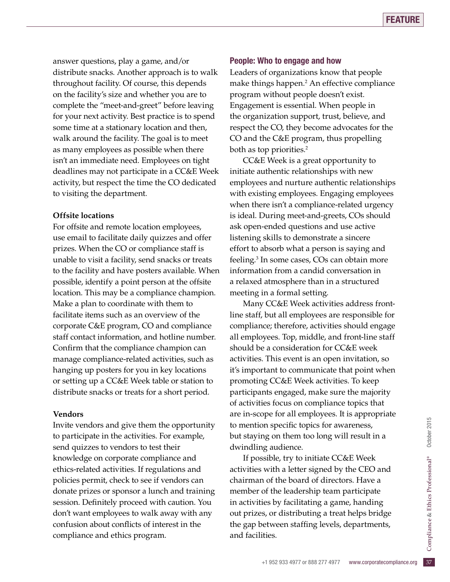answer questions, play a game, and/or distribute snacks. Another approach is to walk throughout facility. Of course, this depends on the facility's size and whether you are to complete the "meet-and-greet" before leaving for your next activity. Best practice is to spend some time at a stationary location and then, walk around the facility. The goal is to meet as many employees as possible when there isn't an immediate need. Employees on tight deadlines may not participate in a CC&E Week activity, but respect the time the CO dedicated to visiting the department.

#### **Offsite locations**

For offsite and remote location employees, use email to facilitate daily quizzes and offer prizes. When the CO or compliance staff is unable to visit a facility, send snacks or treats to the facility and have posters available. When possible, identify a point person at the offsite location. This may be a compliance champion. Make a plan to coordinate with them to facilitate items such as an overview of the corporate C&E program, CO and compliance staff contact information, and hotline number. Confirm that the compliance champion can manage compliance-related activities, such as hanging up posters for you in key locations or setting up a CC&E Week table or station to distribute snacks or treats for a short period.

#### **Vendors**

Invite vendors and give them the opportunity to participate in the activities. For example, send quizzes to vendors to test their knowledge on corporate compliance and ethics-related activities. If regulations and policies permit, check to see if vendors can donate prizes or sponsor a lunch and training session. Definitely proceed with caution. You don't want employees to walk away with any confusion about conflicts of interest in the compliance and ethics program.

#### People: Who to engage and how

Leaders of organizations know that people make things happen.2 An effective compliance program without people doesn't exist. Engagement is essential. When people in the organization support, trust, believe, and respect the CO, they become advocates for the CO and the C&E program, thus propelling both as top priorities.<sup>2</sup>

CC&E Week is a great opportunity to initiate authentic relationships with new employees and nurture authentic relationships with existing employees. Engaging employees when there isn't a compliance-related urgency is ideal. During meet-and-greets, COs should ask open-ended questions and use active listening skills to demonstrate a sincere effort to absorb what a person is saying and feeling.3 In some cases, COs can obtain more information from a candid conversation in a relaxed atmosphere than in a structured meeting in a formal setting.

Many CC&E Week activities address frontline staff, but all employees are responsible for compliance; therefore, activities should engage all employees. Top, middle, and front-line staff should be a consideration for CC&E week activities. This event is an open invitation, so it's important to communicate that point when promoting CC&E Week activities. To keep participants engaged, make sure the majority of activities focus on compliance topics that are in-scope for all employees. It is appropriate to mention specific topics for awareness, but staying on them too long will result in a dwindling audience.

the gap between staffing levels, departments,<br>and facilities.<br>+1 952 933 4977 or 888 277 4977 www.corporatecompliance.org 37 If possible, try to initiate CC&E Week activities with a letter signed by the CEO and chairman of the board of directors. Have a member of the leadership team participate in activities by facilitating a game, handing out prizes, or distributing a treat helps bridge and facilities.